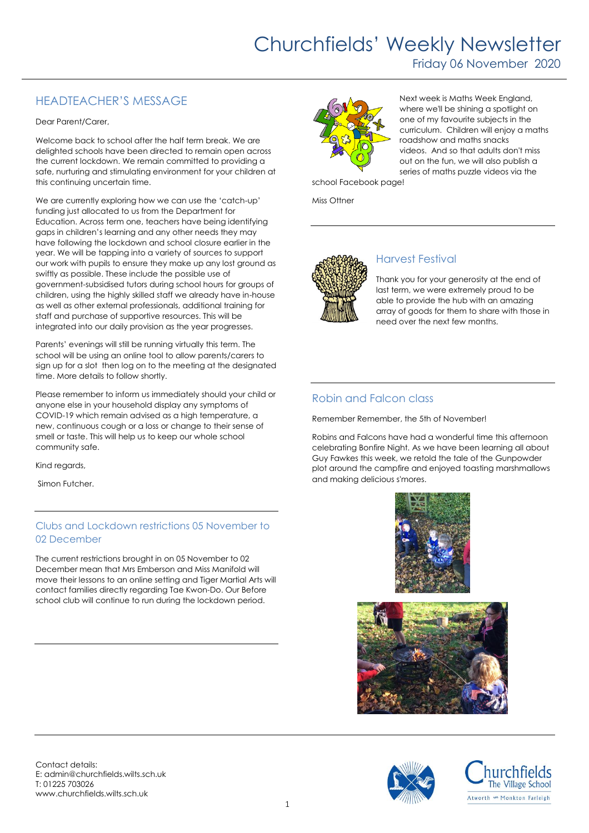# Churchfields' Weekly Newsletter

Friday 06 November 2020

## HEADTEACHER'S MESSAGE

Dear Parent/Carer,

Welcome back to school after the half term break. We are delighted schools have been directed to remain open across the current lockdown. We remain committed to providing a safe, nurturing and stimulating environment for your children at this continuing uncertain time.

We are currently exploring how we can use the 'catch-up' funding just allocated to us from the Department for Education. Across term one, teachers have being identifying gaps in children's learning and any other needs they may have following the lockdown and school closure earlier in the year. We will be tapping into a variety of sources to support our work with pupils to ensure they make up any lost ground as swiftly as possible. These include the possible use of government-subsidised tutors during school hours for groups of children, using the highly skilled staff we already have in-house as well as other external professionals, additional training for staff and purchase of supportive resources. This will be integrated into our daily provision as the year progresses.

Parents' evenings will still be running virtually this term. The school will be using an online tool to allow parents/carers to sign up for a slot then log on to the meeting at the designated time. More details to follow shortly.

Please remember to inform us immediately should your child or anyone else in your household display any symptoms of COVID-19 which remain advised as a high temperature, a new, continuous cough or a loss or change to their sense of smell or taste. This will help us to keep our whole school community safe.

Kind regards,

Simon Futcher.

#### Clubs and Lockdown restrictions 05 November to 02 December

The current restrictions brought in on 05 November to 02 December mean that Mrs Emberson and Miss Manifold will move their lessons to an online setting and Tiger Martial Arts will contact families directly regarding Tae Kwon-Do. Our Before school club will continue to run during the lockdown period.



Next week is Maths Week England, where we'll be shining a spotlight on one of my favourite subjects in the curriculum. Children will enjoy a maths roadshow and maths snacks videos. And so that adults don't miss out on the fun, we will also publish a series of maths puzzle videos via the

school Facebook page!

Miss Ottner



## Harvest Festival

Thank you for your generosity at the end of last term, we were extremely proud to be able to provide the hub with an amazing array of goods for them to share with those in need over the next few months.

### Robin and Falcon class

Remember Remember, the 5th of November!

Robins and Falcons have had a wonderful time this afternoon celebrating Bonfire Night. As we have been learning all about Guy Fawkes this week, we retold the tale of the Gunpowder plot around the campfire and enjoyed toasting marshmallows and making delicious s'mores.